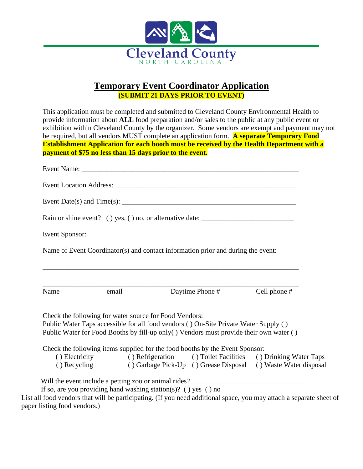

## **Temporary Event Coordinator Application (SUBMIT 21 DAYS PRIOR TO EVENT)**

|              |       | <b>Establishment Application for each booth must be received by the Health Department with a</b>                     |              |
|--------------|-------|----------------------------------------------------------------------------------------------------------------------|--------------|
|              |       | payment of \$75 no less than 15 days prior to the event.                                                             |              |
|              |       |                                                                                                                      |              |
|              |       |                                                                                                                      |              |
|              |       |                                                                                                                      |              |
|              |       | Rain or shine event? () yes, () no, or alternative date: ________________________                                    |              |
|              |       |                                                                                                                      |              |
|              |       |                                                                                                                      |              |
|              |       |                                                                                                                      |              |
|              |       | Name of Event Coordinator(s) and contact information prior and during the event:                                     |              |
|              |       |                                                                                                                      |              |
|              |       |                                                                                                                      |              |
| Name         | email | Daytime Phone #                                                                                                      | Cell phone # |
|              |       |                                                                                                                      |              |
|              |       | Check the following for water source for Food Vendors:                                                               |              |
|              |       | Public Water Taps accessible for all food vendors () On-Site Private Water Supply ()                                 |              |
|              |       | Public Water for Food Booths by fill-up only () Vendors must provide their own water ()                              |              |
|              |       | Check the following items supplied for the food booths by the Event Sponsor:                                         |              |
| () Recycling |       | () Electricity () Refrigeration () Toilet Facilities () Drinking Water Taps<br>() Garbage Pick-Up () Grease Disposal |              |

List all food vendors that will be participating. (If you need additional space, you may attach a separate sheet of paper listing food vendors.)